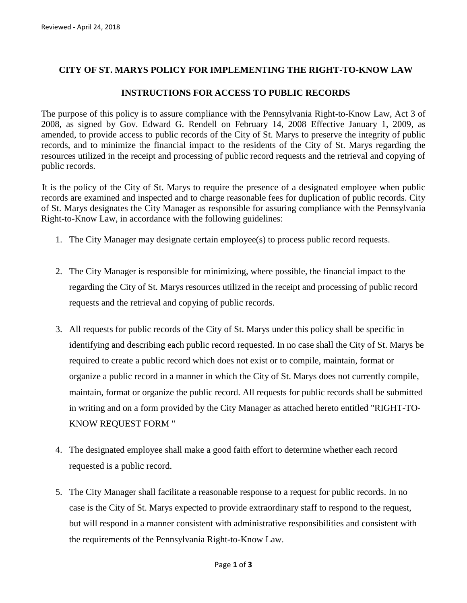## **CITY OF ST. MARYS POLICY FOR IMPLEMENTING THE RIGHT-TO-KNOW LAW**

## **INSTRUCTIONS FOR ACCESS TO PUBLIC RECORDS**

The purpose of this policy is to assure compliance with the Pennsylvania Right-to-Know Law, Act 3 of 2008, as signed by Gov. Edward G. Rendell on February 14, 2008 Effective January 1, 2009, as amended, to provide access to public records of the City of St. Marys to preserve the integrity of public records, and to minimize the financial impact to the residents of the City of St. Marys regarding the resources utilized in the receipt and processing of public record requests and the retrieval and copying of public records.

It is the policy of the City of St. Marys to require the presence of a designated employee when public records are examined and inspected and to charge reasonable fees for duplication of public records. City of St. Marys designates the City Manager as responsible for assuring compliance with the Pennsylvania Right-to-Know Law, in accordance with the following guidelines:

- 1. The City Manager may designate certain employee(s) to process public record requests.
- 2. The City Manager is responsible for minimizing, where possible, the financial impact to the regarding the City of St. Marys resources utilized in the receipt and processing of public record requests and the retrieval and copying of public records.
- 3. All requests for public records of the City of St. Marys under this policy shall be specific in identifying and describing each public record requested. In no case shall the City of St. Marys be required to create a public record which does not exist or to compile, maintain, format or organize a public record in a manner in which the City of St. Marys does not currently compile, maintain, format or organize the public record. All requests for public records shall be submitted in writing and on a form provided by the City Manager as attached hereto entitled "RIGHT-TO-KNOW REQUEST FORM "
- 4. The designated employee shall make a good faith effort to determine whether each record requested is a public record.
- 5. The City Manager shall facilitate a reasonable response to a request for public records. In no case is the City of St. Marys expected to provide extraordinary staff to respond to the request, but will respond in a manner consistent with administrative responsibilities and consistent with the requirements of the Pennsylvania Right-to-Know Law.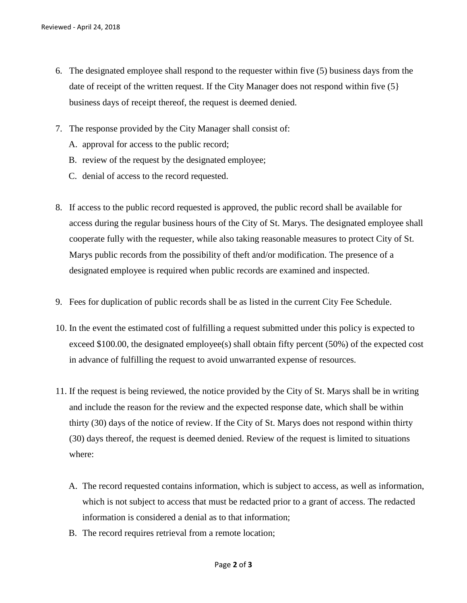- 6. The designated employee shall respond to the requester within five (5) business days from the date of receipt of the written request. If the City Manager does not respond within five (5} business days of receipt thereof, the request is deemed denied.
- 7. The response provided by the City Manager shall consist of:
	- A. approval for access to the public record;
	- B. review of the request by the designated employee;
	- C. denial of access to the record requested.
- 8. If access to the public record requested is approved, the public record shall be available for access during the regular business hours of the City of St. Marys. The designated employee shall cooperate fully with the requester, while also taking reasonable measures to protect City of St. Marys public records from the possibility of theft and/or modification. The presence of a designated employee is required when public records are examined and inspected.
- 9. Fees for duplication of public records shall be as listed in the current City Fee Schedule.
- 10. In the event the estimated cost of fulfilling a request submitted under this policy is expected to exceed \$100.00, the designated employee(s) shall obtain fifty percent (50%) of the expected cost in advance of fulfilling the request to avoid unwarranted expense of resources.
- 11. If the request is being reviewed, the notice provided by the City of St. Marys shall be in writing and include the reason for the review and the expected response date, which shall be within thirty (30) days of the notice of review. If the City of St. Marys does not respond within thirty (30) days thereof, the request is deemed denied. Review of the request is limited to situations where:
	- A. The record requested contains information, which is subject to access, as well as information, which is not subject to access that must be redacted prior to a grant of access. The redacted information is considered a denial as to that information;
	- B. The record requires retrieval from a remote location;